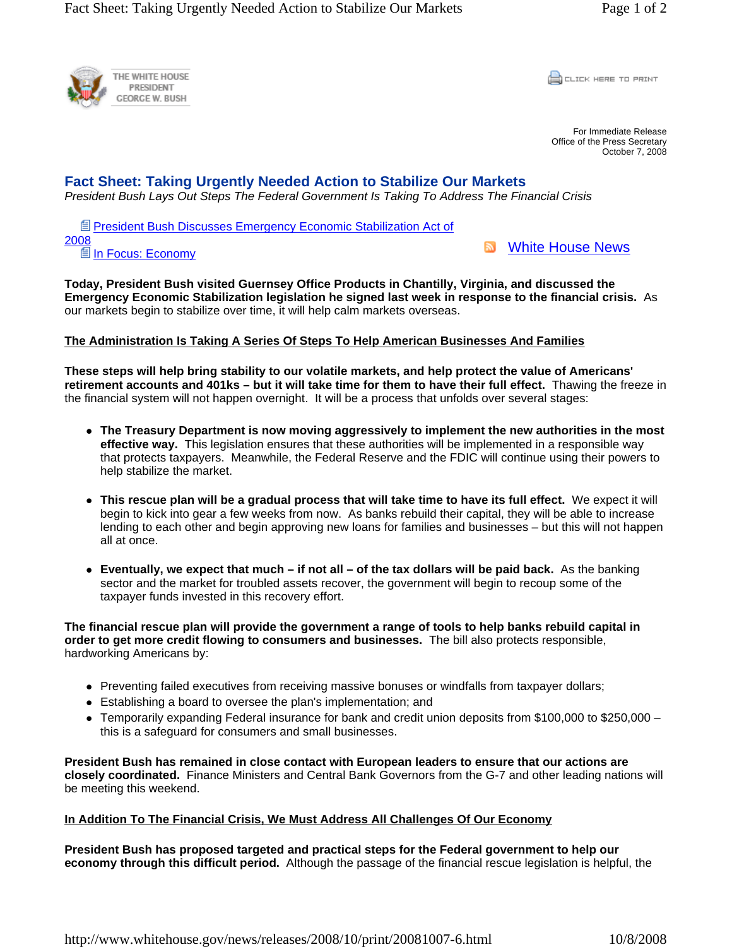

CLICK HERE TO PRINT

For Immediate Release Office of the Press Secretary October 7, 2008

## **Fact Sheet: Taking Urgently Needed Action to Stabilize Our Markets**

*President Bush Lays Out Steps The Federal Government Is Taking To Address The Financial Crisis*

**E** President Bush Discusses Emergency Economic Stabilization Act of 2008 **■In Focus: Economy** 

**N** White House News

**Today, President Bush visited Guernsey Office Products in Chantilly, Virginia, and discussed the Emergency Economic Stabilization legislation he signed last week in response to the financial crisis.** As our markets begin to stabilize over time, it will help calm markets overseas.

## **The Administration Is Taking A Series Of Steps To Help American Businesses And Families**

**These steps will help bring stability to our volatile markets, and help protect the value of Americans' retirement accounts and 401ks – but it will take time for them to have their full effect.** Thawing the freeze in the financial system will not happen overnight. It will be a process that unfolds over several stages:

- The Treasury Department is now moving aggressively to implement the new authorities in the most **effective way.** This legislation ensures that these authorities will be implemented in a responsible way that protects taxpayers. Meanwhile, the Federal Reserve and the FDIC will continue using their powers to help stabilize the market.
- This rescue plan will be a gradual process that will take time to have its full effect. We expect it will begin to kick into gear a few weeks from now. As banks rebuild their capital, they will be able to increase lending to each other and begin approving new loans for families and businesses – but this will not happen all at once.
- Eventually, we expect that much if not all of the tax dollars will be paid back. As the banking sector and the market for troubled assets recover, the government will begin to recoup some of the taxpayer funds invested in this recovery effort.

**The financial rescue plan will provide the government a range of tools to help banks rebuild capital in order to get more credit flowing to consumers and businesses.** The bill also protects responsible, hardworking Americans by:

- Preventing failed executives from receiving massive bonuses or windfalls from taxpayer dollars;
- Establishing a board to oversee the plan's implementation; and
- $\bullet$  Temporarily expanding Federal insurance for bank and credit union deposits from \$100,000 to \$250,000 this is a safeguard for consumers and small businesses.

**President Bush has remained in close contact with European leaders to ensure that our actions are closely coordinated.** Finance Ministers and Central Bank Governors from the G-7 and other leading nations will be meeting this weekend.

## **In Addition To The Financial Crisis, We Must Address All Challenges Of Our Economy**

**President Bush has proposed targeted and practical steps for the Federal government to help our economy through this difficult period.** Although the passage of the financial rescue legislation is helpful, the